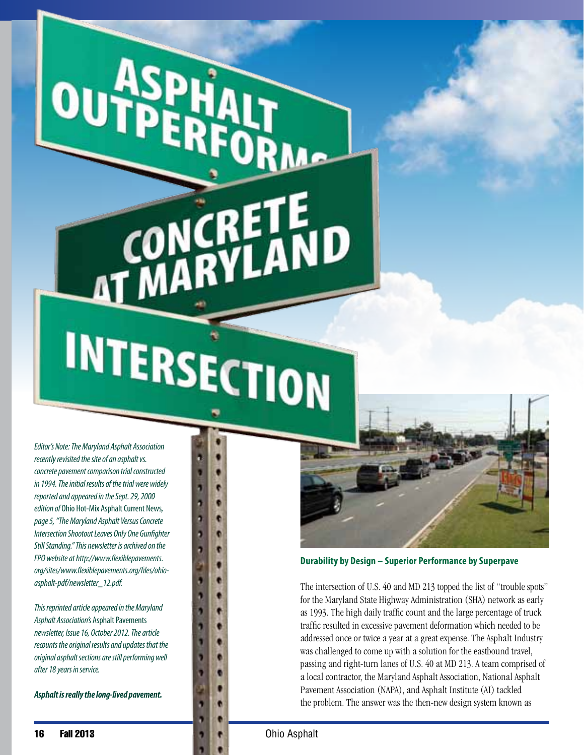INTERSECTION

ŋ ā ā þ a

CONCRI<br>MARY

*Editor's Note: The Maryland Asphalt Association recently revisited the site of an asphalt vs. concrete pavement comparison trial constructed in 1994. The initial results of the trial were widely reported and appeared in the Sept. 29, 2000 edition of* Ohio Hot-Mix Asphalt Current News*, page 5, "The Maryland Asphalt Versus Concrete Intersection Shootout Leaves Only One Gunfighter Still Standing." This newsletter is archived on the FPO website at http://www.flexiblepavements. org/sites/www.flexiblepavements.org/files/ohioasphalt-pdf/newsletter\_12.pdf.*

OU

*This reprinted article appeared in the Maryland Asphalt Association's* Asphalt Pavements *newsletter, Issue 16, October 2012. The article recounts the original results and updates that the original asphalt sections are still performing well after 18 years in service.*

*Asphalt is really the long-lived pavement.*



**Durability by Design – Superior Performance by Superpave**

The intersection of U.S. 40 and MD 213 topped the list of "trouble spots" for the Maryland State Highway Administration (SHA) network as early as 1993. The high daily traffic count and the large percentage of truck traffic resulted in excessive pavement deformation which needed to be addressed once or twice a year at a great expense. The Asphalt Industry was challenged to come up with a solution for the eastbound travel, passing and right-turn lanes of U.S. 40 at MD 213. A team comprised of a local contractor, the Maryland Asphalt Association, National Asphalt Pavement Association (NAPA), and Asphalt Institute (AI) tackled the problem. The answer was the then-new design system known as

ETE<br>'LAND